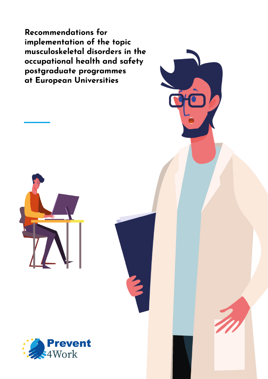Recommendations for implementation of the topic musculoskeletal disorders in the occupational health and safety postgraduate programmes at European Universities



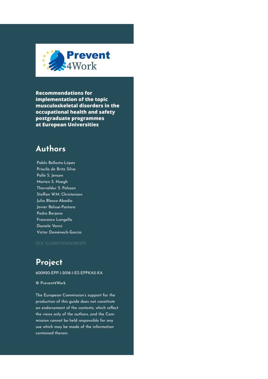

**Recommendations for implementation of the topic musculoskeletal disorders in the occupational health and safety postgraduate programmes at European Universities**

## **Authors**

Pablo Bellosta-López Priscila de Brito Silva Palle S. Jensen Morten S. Hoegh Thorvaldur S. Palsson Steffan W.M. Christensen Julia Blasco-Abadía Javier Belsué-Pastora Pedro Berjano Francesco Langella Daniele Vanni Víctor Doménech-García

## **Project**

600920-EPP-1-2018-1-ES-EPPKA2-KA

© Prevent4Work

The European Commission's support for the production of this guide does not constitute an endorsement of the contents, which reflect the views only of the authors, and the Commission cannot be held responsible for any use which may be made of the information contained therein.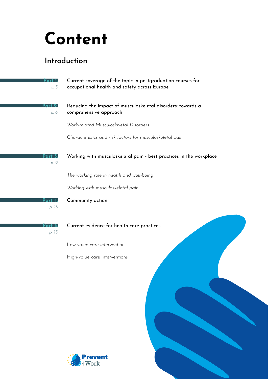## **Content**

## **Introduction**

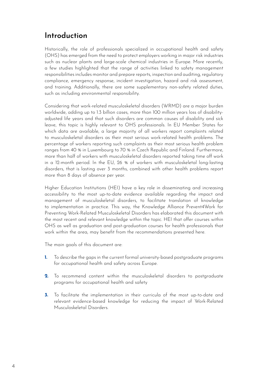## **Introduction**

Historically, the role of professionals specialized in occupational health and safety (OHS) has emerged from the need to protect employers working in major risk industries such as nuclear plants and large-scale chemical industries in Europe. More recently, a few studies highlighted that the range of activities linked to safety management responsibilities includes monitor and prepare reports, inspection and auditing, regulatory compliance, emergency response, incident investigation, hazard and risk assessment, and training. Additionally, there are some supplementary non-safety related duties, such as including environmental responsibility.

Considering that work-related musculoskeletal disorders (WRMD) are a major burden worldwide, adding up to 1.3 billion cases, more than 100 million years loss of disabilityadjusted life years and that such disorders are common causes of disability and sick leave, this topic is highly relevant to OHS professionals. In EU Member States for which data are available, a large majority of all workers report complaints related to musculoskeletal disorders as their most serious work-related health problems. The percentage of workers reporting such complaints as their most serious health problem ranges from 40 % in Luxembourg to 70 % in Czech Republic and Finland. Furthermore, more than half of workers with musculoskeletal disorders reported taking time off work in a 12-month period. In the EU, 26 % of workers with musculoskeletal long-lasting disorders, that is lasting over 3 months, combined with other health problems report more than 8 days of absence per year.

Higher Education Institutions (HEI) have a key role in disseminating and increasing accessibility to the most up-to-date evidence available regarding the impact and management of musculoskeletal disorders, to facilitate translation of knowledge to implementation in practice. This way, the Knowledge Alliance Prevent4Work for Preventing Work-Related Musculoskeletal Disorders has elaborated this document with the most recent and relevant knowledge within the topic. HEI that offer courses within OHS as well as graduation and post-graduation courses for health professionals that work within the area, may benefit from the recommendations presented here.

The main goals of this document are:

- To describe the gaps in the current formal university-based postgraduate programs for occupational health and safety across Europe. **1.**
- To recommend content within the musculoskeletal disorders to postgraduate programs for occupational health and safety **2.**
- **3.** To facilitate the implementation in their curricula of the most up-to-date and relevant evidence-based knowledge for reducing the impact of Work-Related Musculoskeletal Disorders.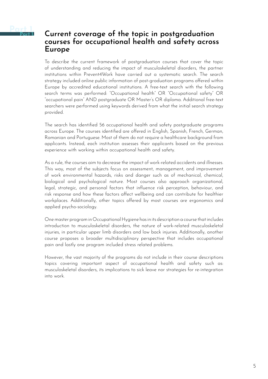<span id="page-4-0"></span>

### **Current coverage of the topic in postgraduation courses for occupational health and safety across Europe**

To describe the current framework of postgraduation courses that cover the topic of understanding and reducing the impact of musculoskeletal disorders, the partner institutions within Prevent4Work have carried out a systematic search. The search strategy included online public information of post-graduation programs offered within Europe by accredited educational institutions. A free-text search with the following search terms was performed: "Occupational health" OR "Occupational safety" OR "occupational pain" AND postgraduate OR Master's OR diploma. Additional free-text searchers were performed using keywords derived from what the initial search strategy provided.

The search has identified 56 occupational health and safety postgraduate programs across Europe. The courses identified are offered in English, Spanish, French, German, Romanian and Portuguese. Most of them do not require a healthcare background from applicants. Instead, each institution assesses their applicants based on the previous experience with working within occupational health and safety.

As a rule, the courses aim to decrease the impact of work-related accidents and illnesses. This way, most of the subjects focus on assessment, management, and improvement of work environmental hazards, risks and danger such as of mechanical, chemical, biological and psychological nature. Most courses also approach organizational, legal, strategic, and personal factors that influence risk perception, behaviour, and risk response and how these factors affect wellbeing and can contribute for healthier workplaces. Additionally, other topics offered by most courses are ergonomics and applied psycho-sociology.

One master program in Occupational Hygiene has in its description a course that includes introduction to musculoskeletal disorders, the nature of work-related musculoskeletal injuries, in particular upper limb disorders and low back injuries. Additionally, another course proposes a broader multidisciplinary perspective that includes occupational pain and lastly one program included stress related problems.

However, the vast majority of the programs do not include in their course descriptions topics covering important aspect of occupational health and safety such as: musculoskeletal disorders, its implications to sick leave nor strategies for re-integration into work.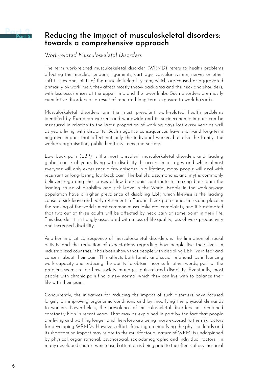<span id="page-5-0"></span>

## **Reducing the impact of musculoskeletal disorders: towards a comprehensive approach**

*Work-related Musculoskeletal Disorders* 

The term work-related musculoskeletal disorder (WRMD) refers to health problems affecting the muscles, tendons, ligaments, cartilage, vascular system, nerves or other soft tissues and joints of the musculoskeletal system, which are caused or aggravated primarily by work itself; they affect mostly theow back area and the neck and shoulders, with less occurrences at the upper limb and the lower limbs. Such disorders are mostly cumulative disorders as a result of repeated long-term exposure to work hazards.

Musculoskeletal disorders are the most prevalent work-related health problems identified by European workers and worldwide and its socioeconomic impact can be measured in relation to the large proportion of working days lost every year as well as years living with disability. Such negative consequences have short-and long-term negative impact that affect not only the individual worker, but also the family, the worker's organisation, public health systems and society.

Low back pain (LBP) is the most prevalent musculoskeletal disorders and leading global cause of years living with disability. It occurs in all ages and while almost everyone will only experience a few episodes in a lifetime, many people will deal with recurrent or long-lasting low back pain. The beliefs, assumptions, and myths commonly believed regarding the causes of low back pain contribute to making back pain the leading cause of disability and sick leave in the World. People in the working-age population have a higher prevalence of disabling LBP, which likewise is the leading cause of sick leave and early retirement in Europe. Neck pain comes in second place in the ranking of the world's most common musculoskeletal complaints, and it is estimated that two out of three adults will be affected by neck pain at some point in their life. This disorder it is strongly associated with a loss of life quality, loss of work productivity and increased disability.

Another implicit consequence of musculoskeletal disorders is the limitation of social activity and the reduction of expectations regarding how people live their lives. In industrialized countries, it has been shown that people with disabling LBP live in fear and concern about their pain. This affects both family and social relationships influencing work capacity and reducing the ability to obtain income. In other words, part of the problem seems to be how society manages pain-related disability. Eventually, most people with chronic pain find a new normal which they can live with to balance their life with their pain.

Concurrently, the initiatives for reducing the impact of such disorders have focused largely on improving ergonomic conditions and by modifying the physical demands to workers. Nevertheless, the prevalence of musculoskeletal disorders has remained constantly high in recent years. That may be explained in part by the fact that people are living and working longer and therefore are being more exposed to the risk factors for developing WRMDs. However, efforts focusing on modifying the physical loads and its shortcoming impact may relate to the multifactorial nature of WRMDs underpinned by physical, organisational, psychosocial, sociodemographic and individual factors. In many developed countries increased attention is being paid to the effects of psychosocial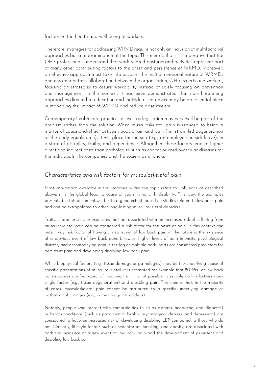factors on the health and well-being of workers.

Therefore, strategies for addressing WRMD require not only an inclusion of multifactorial approaches but a re-examination of the topic. This means, that it is imperative that the OHS professionals understand that work-related postures and activities represent part of many other contributing factors to the onset and persistence of WRMD. Moreover, an effective approach must take into account the multidimensional nature of WRMDs and ensure a better collaboration between the organisation, OHS experts and workers, focusing on strategies to assure workability instead of solely focusing on prevention and management. In this context, it has been demonstrated that non-threatening approaches directed to education and individualised advice may be an essential piece in managing the impact of WRMD and reduce absenteeism.

Contemporary health care practices as well as legislation may very well be part of the problem rather than the solution. When musculoskeletal pain is reduced to being a matter of cause-and-effect between body strain and pain (i.e., strain-led degeneration of the body equals pain), it will place the person (e.g., an employee on sick leave), in a state of disability, frailty, and dependence. Altogether, these factors lead to higher direct and indirect costs than pathologies such as cancer or cardiovascular diseases for the individuals, the companies and the society as a whole.

#### *Characteristics and risk factors for musculoskeletal pain*

Most information available in the literature within this topic refers to LBP, since as described above, it is the global leading cause of years living with disability. This way, the examples presented in this document will be, to a good extent, based on studies related to low back pain and can be extrapolated to other long-lasting musculoskeletal disorders.

Traits, characteristics, or exposures that are associated with an increased risk of suffering from musculoskeletal pain can be considered a risk factor for the onset of pain. In this context, the most likely risk factor of having a new event of low back pain in the future is the existence of a previous event of low back pain. Likewise, higher levels of pain intensity, psychological distress, and accompanying pain in the leg or multiple body parts are considered predictors for persistent pain and developing disabling low back pain.

While biophysical factors (e.g., tissue damage or pathologies) may be the underlying cause of specific presentations of musculoskeletal, it is estimated for example that 80-95% of low back pain episodes are "non-specific" meaning that it is not possible to establish a link between any single factor (e.g., tissue degeneration) and disabling pain. This means that, in the majority of cases, musculoskeletal pain cannot be attributed to a specific underlying damage or pathological changes (e.g., in muscles, joints or discs).

Notably, people who present with comorbidities (such as asthma, headache, and diabetes) or health conditions (such as poor mental health, psychological distress, and depression) are considered to have an increased risk of developing disabling LBP compared to those who do not. Similarly, lifestyle factors such as sedentarism, smoking, and obesity, are associated with both the incidence of a new event of low back pain and the development of persistent and disabling low back pain.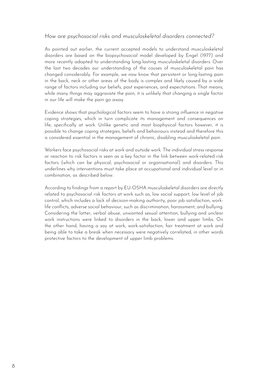#### *How are psychosocial risks and musculoskeletal disorders connected?*

As pointed out earlier, the current accepted models to understand musculoskeletal disorders are based on the biopsychosocial model developed by Engel (1977) and more recently adapted to understanding long-lasting musculoskeletal disorders. Over the last two decades our understanding of the causes of musculoskeletal pain has changed considerably. For example, we now know that persistent or long-lasting pain in the back, neck or other areas of the body is complex and likely caused by a wide range of factors including our beliefs, past experiences, and expectations. That means, while many things may aggravate the pain, it is unlikely that changing a single factor in our life will make the pain go away.

Evidence shows that psychological factors seem to have a strong influence in negative coping strategies, which in turn complicate its management and consequences on life, specifically at work. Unlike genetic and most biophysical factors however, it is possible to change coping strategies, beliefs and behaviours instead and therefore this is considered essential in the management of chronic, disabling musculoskeletal pain.

Workers face psychosocial risks at work and outside work. The individual stress response or reaction to risk factors is seen as a key factor in the link between work-related risk factors (which can be physical, psychosocial or organisational) and disorders. This underlines why interventions must take place at occupational and individual level or in combination, as described below.

According to findings from a report by EU-OSHA musculoskeletal disorders are directly related to psychosocial risk factors at work such as, low social support, low level of job control, which includes a lack of decision-making authority, poor job satisfaction, worklife conflicts, adverse social behaviour, such as discrimination, harassment, and bullying. Considering the latter, verbal abuse, unwanted sexual attention, bullying and unclear work instructions were linked to disorders in the back, lower and upper limbs. On the other hand, having a say at work, work-satisfaction, fair treatment at work and being able to take a break when necessary were negatively correlated, in other words protective factors to the development of upper limb problems.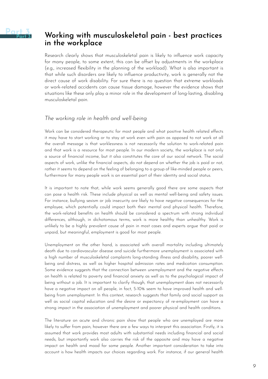<span id="page-8-0"></span>

## **Working with musculoskeletal pain - best practices in the workplace**

Research clearly shows that musculoskeletal pain is likely to influence work capacity for many people, to some extent, this can be offset by adjustments in the workplace (e.g., increased flexibility in the planning of the workload). What is also important is that while such disorders are likely to influence productivity, work is generally not the direct cause of work disability. For sure there is no question that extreme workloads or work-related accidents can cause tissue damage, however the evidence shows that situations like these only play a minor role in the development of long-lasting, disabling musculoskeletal pain.

#### *The working role in health and well-being*

Work can be considered therapeutic for most people and what positive health related effects it may have to start working or to stay at work even with pain as opposed to not work at all the overall message is that worklessness is not necessarily the solution to work-related pain and that work is a resource for most people. In our modern society, the workplace is not only a source of financial income, but it also constitutes the core of our social network. The social aspects of work, unlike the financial aspects, do not depend on whether the job is paid or not, rather it seems to depend on the feeling of belonging to a group of like-minded people or peers, furthermore for many people work is an essential part of their identity and social status.

It is important to note that, while work seems generally good there are some aspects that can pose a health risk. These include physical as well as mental well-being and safety issues. For instance, bullying sexism or job insecurity are likely to have negative consequences for the employee, which potentially could impact both their mental and physical health. Therefore, the work-related benefits on health should be considered a spectrum with strong individual differences, although, in dichotomous terms, work is more healthy than unhealthy. Work is unlikely to be a highly prevalent cause of pain in most cases and experts argue that paid or unpaid, but meaningful, employment is good for most people.

Unemployment on the other hand, is associated with overall mortality including ultimately death due to cardiovascular disease and suicide furthermore unemployment is associated with a high number of musculoskeletal complaints long-standing illness and disability, poorer wellbeing and distress, as well as higher hospital admission rates and medication consumption. Some evidence suggests that the connection between unemployment and the negative effects on health is related to poverty and financial anxiety as well as to the psychological impact of being without a job. It is important to clarify though, that unemployment does not necessarily have a negative impact on all people, in fact, 5-10% seem to have improved health and wellbeing from unemployment. In this context, research suggests that family and social support as well as social capital education and the desire or expectancy of re-employment can have a strong impact in the association of unemployment and poorer physical and health conditions.

The literature on acute and chronic pain show that people who are unemployed are more likely to suffer from pain, however there are a few ways to interpret this association. Firstly, it is assumed that work provides most adults with substantial needs including financial and social needs, but importantly work also carries the risk of the opposite and may have a negative impact on health and mood for some people. Another important consideration to take into account is how health impacts our choices regarding work. For instance, if our general health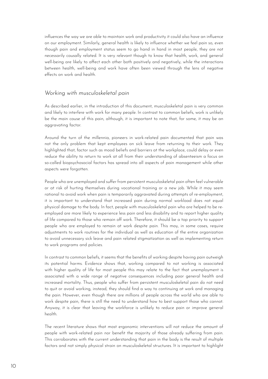influences the way we are able to maintain work and productivity it could also have an influence on our employment. Similarly, general health is likely to influence whether we feel pain so, even though pain and employment status seem to go hand in hand in most people, they are not necessarily causally related. It is very relevant though to know that health, work, and general well-being are likely to affect each other both positively and negatively, while the interactions between health, well-being and work have often been viewed through the lens of negative effects on work and health.

#### *Working with musculoskeletal pain*

As described earlier, in the introduction of this document, musculoskeletal pain is very common and likely to interfere with work for many people. In contrast to common beliefs, work is unlikely be the main cause of this pain, although, it is important to note that, for some, it may be an aggravating factor.

Around the turn of the millennia, pioneers in work-related pain documented that pain was not the only problem that kept employees on sick leave from returning to their work. They highlighted that, factor such as mood beliefs and barriers at the workplace, could delay or even reduce the ability to return to work at all from their understanding of absenteeism a focus on so-called biopsychosocial factors has spread into all aspects of pain management while other aspects were forgotten.

People who are unemployed and suffer from persistent musculoskeletal pain often feel vulnerable or at risk of hurting themselves during vocational training or a new job. While it may seem rational to avoid work when pain is temporarily aggravated during attempts of re-employment, it is important to understand that increased pain during normal workload does not equal physical damage to the body. In fact, people with musculoskeletal pain who are helped to be reemployed are more likely to experience less pain and less disability and to report higher quality of life compared to those who remain off work. Therefore, it should be a top priority to support people who are employed to remain at work despite pain. This may, in some cases, require adjustments to work routines for the individual as well as education of the entire organization to avoid unnecessary sick leave and pain related stigmatization as well as implementing return to work programs and policies.

In contrast to common beliefs, it seems that the benefits of working despite having pain outweigh its potential harms. Evidence shows that, working compared to not working is associated with higher quality of life for most people this may relate to the fact that unemployment is associated with a wide range of negative consequences including poor general health and increased mortality. Thus, people who suffer from persistent musculoskeletal pain do not need to quit or avoid working, instead, they should find a way to continuing at work and managing the pain. However, even though there are millions of people across the world who are able to work despite pain, there is still the need to understand how to best support those who cannot. Anyway, it is clear that leaving the workforce is unlikely to reduce pain or improve general health.

The recent literature shows that most ergonomic interventions will not reduce the amount of people with work-related pain nor benefit the majority of those already suffering from pain. This corroborates with the current understanding that pain in the body is the result of multiple factors and not simply physical strain on musculoskeletal structures. It is important to highlight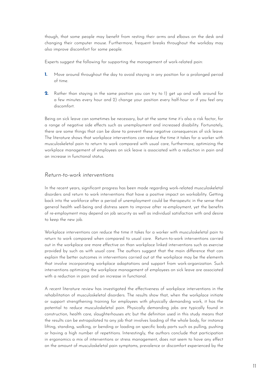though, that some people may benefit from resting their arms and elbows on the desk and changing their computer mouse. Furthermore, frequent breaks throughout the workday may also improve discomfort for some people.

Experts suggest the following for supporting the management of work-related pain:

- Move around throughout the day to avoid staying in any position for a prolonged period of time. **1.**
- Rather than staying in the same position you can try to 1) get up and walk around for **2.**a few minutes every hour and 2) change your position every half-hour or if you feel any discomfort.

Being on sick leave can sometimes be necessary, but at the same time it's also a risk factor, for a range of negative side effects such as unemployment and increased disability. Fortunately, there are some things that can be done to prevent these negative consequences of sick leave. The literature shows that workplace interventions can reduce the time it takes for a worker with musculoskeletal pain to return to work compared with usual care, furthermore, optimizing the workplace management of employees on sick leave is associated with a reduction in pain and an increase in functional status.

#### *Return-to-work interventions*

In the recent years, significant progress has been made regarding work-related musculoskeletal disorders and return to work interventions that have a positive impact on workability. Getting back into the workforce after a period of unemployment could be therapeutic in the sense that general health well-being and distress seem to improve after re-employment, yet the benefits of re-employment may depend on job security as well as individual satisfaction with and desire to keep the new job.

Workplace interventions can reduce the time it takes for a worker with musculoskeletal pain to return to work compared when compared to usual care. Return-to-work interventions carried out in the workplace are more effective on than workplace linked interventions such as exercise provided by such as with usual care. The authors suggest that the main difference that can explain the better outcomes in interventions carried out at the workplace may be the elements that involve incorporating workplace adaptations and support from work-organization. Such interventions optimizing the workplace management of employees on sick leave are associated with a reduction in pain and an increase in functional.

A recent literature review has investigated the effectiveness of workplace interventions in the rehabilitation of musculoskeletal disorders. The results show that, when the workplace initiate or support strengthening training for employees with physically demanding work, it has the potential to reduce musculoskeletal pain. Physically demanding jobs are typically found in construction, health care, slaughterhouses etc but the definition used in this study means that the results can be extrapolated to any job that involves loading of the whole body, for instance lifting, standing, walking, or bending or loading on specific body parts such as pulling, pushing or having a high number of repetitions. Interestingly, the authors conclude that participation in ergonomics a mix of interventions or stress management, does not seem to have any effect on the amount of musculoskeletal pain symptoms, prevalence or discomfort experienced by the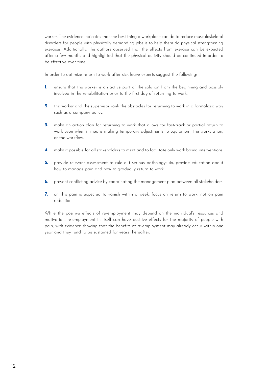worker. The evidence indicates that the best thing a workplace can do to reduce musculoskeletal disorders for people with physically demanding jobs is to help them do physical strengthening exercises. Additionally, the authors observed that the effects from exercise can be expected after a few months and highlighted that the physical activity should be continued in order to be effective over time.

In order to optimize return to work after sick leave experts suggest the following:

- ensure that the worker is an active part of the solution from the beginning and possibly involved in the rehabilitation prior to the first day of returning to work. **1.**
- the worker and the supervisor rank the obstacles for returning to work in a formalized way such as a company policy. **2.**
- make an action plan for returning to work that allows for fast-track or partial return to work even when it means making temporary adjustments to equipment, the workstation, or the workflow. **3.**
- make it possible for all stakeholders to meet and to facilitate only work based interventions. **4.**
- provide relevant assessment to rule out serious pathology; six, provide education about how to manage pain and how to gradually return to work. **5.**
- prevent conflicting advice by coordinating the management plan between all stakeholders. **6.**
- on this pain is expected to vanish within a week, focus on return to work, not on pain reduction. **7.**

While the positive effects of re-employment may depend on the individual's resources and motivation, re-employment in itself can have positive effects for the majority of people with pain, with evidence showing that the benefits of re-employment may already occur within one year and they tend to be sustained for years thereafter.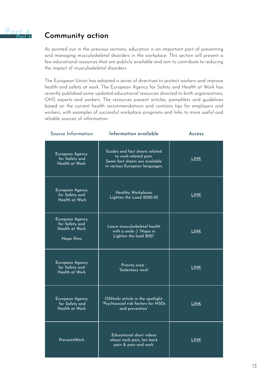## <span id="page-12-0"></span>**Community action**

As pointed out in the previous sections, education is an important part of preventing and managing musculoskeletal disorders in the workplace. This section will present a few educational resources that are publicly available and aim to contribute to reducing the impact of musculoskeletal disorders.

The European Union has adopted a series of directives to protect workers and improve health and safety at work. The European Agency for Safety and Health at Work has recently published some updated educational resources directed to both organizations, OHS experts and workers. The resources present articles, pamphlets and guidelines based on the current health recommendations and contains tips for employers and workers, with examples of successful workplace programs and links to more useful and reliable sources of information.

| Source Information                                                | Information available                                                                                                       | <b>Access</b> |
|-------------------------------------------------------------------|-----------------------------------------------------------------------------------------------------------------------------|---------------|
| European Agency<br>for Safety and<br>Health at Work               | Guides and fact sheets related<br>to work-related pain.<br>Some fact sheets are available<br>in various European languages. | <b>LINK</b>   |
| European Agency<br>for Safety and<br>Health at Work               | <b>Healthy Workplaces</b><br>Lighten the Load 2020-22                                                                       | <b>LINK</b>   |
| European Agency<br>for Safety and<br>Health at Work<br>Napo films | Learn musculoskeletal health<br>with a smile :) "Napo in<br>Lighten the load 2021"                                          | <b>LINK</b>   |
| European Agency<br>for Safety and<br>Health at Work               | Priority area -<br>"Sedentary work"                                                                                         | <b>LINK</b>   |
| European Agency<br>for Safety and<br>Health at Work               | OSHwiki article in the spotlight:<br>"Psychosocial risk factors for MSDs<br>and prevention"                                 | <b>LINK</b>   |
| Prevent4Work                                                      | Educational short videos<br>about neck pain, low back<br>pain & pain and work.                                              | <b>LINK</b>   |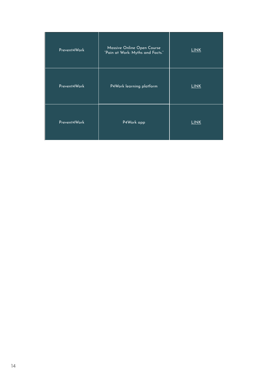| Prevent4Work | Massive Online Open Course<br>"Pain at Work: Myths and Facts." | <b>LINK</b> |
|--------------|----------------------------------------------------------------|-------------|
| Prevent4Work | P4Work learning platform                                       | <b>LINK</b> |
| Prevent4Work | P4Work app                                                     | <b>LINK</b> |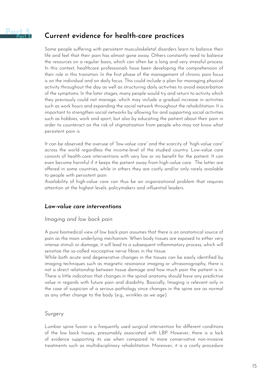<span id="page-14-0"></span>

## **Current evidence for health-care practices**

Some people suffering with persistent musculoskeletal disorders learn to balance their life and feel that their pain has almost gone away. Others constantly need to balance the resources on a regular basis, which can often be a long and very stressful process. In this context, healthcare professionals have been developing the comprehension of their role in this transition. In the first phase of the management of chronic pain focus is on the individual and on daily focus. This could include a plan for managing physical activity throughout the day as well as structuring daily activities to avoid exacerbation of the symptoms. In the later stages, many people would try and return to activity which they previously could not manage, which may include a gradual increase in activities such as work hours and expanding the social network throughout the rehabilitation. It is important to strengthen social networks by allowing for and supporting social activities such as hobbies, work and sport, but also by educating the patient about their pain in order to counteract on the risk of stigmatization from people who may not know what persistent pain is.

It can be observed the overuse of "low-value care" and the scarcity of "high-value care" across the world regardless the income-level of the studied country. Low-value care consists of health-care interventions with very low or no benefit for the patient. It can even become harmful if it keeps the patient away from high-value care. The latter are offered in some countries, while in others they are costly and/or only rarely available to people with persistent pain.

Availability of high-value care can thus be an organizational problem that requires attention at the highest levels: policymakers and influential leaders.

#### *Low-value care interventions*

#### *Imaging and low back pain*

A pure biomedical view of low back pain assumes that there is an anatomical source of pain as the main underlying mechanism: When body tissues are exposed to either very intense stimuli or damage, it will lead to a subsequent inflammatory process, which will sensitize the so-called nociceptive nerve fibres in the tissue.

While both acute and degenerative changes in the tissues can be easily identified by imaging techniques such as magnetic resonance imaging or ultrasonography, there is not a direct relationship between tissue damage and how much pain the patient is in. There is little indication that changes in the spinal anatomy should have any predictive value in regards with future pain and disability. Basically, Imaging is relevant only in the case of suspicion of a serious pathology since changes in the spine are as normal as any other change to the body (e.g., wrinkles as we age).

#### *Surgery*

Lumbar spine fusion is a frequently used surgical intervention for different conditions of the low back tissues, presumably associated with LBP. However, there is a lack of evidence supporting its use when compared to more conservative non-invasive treatments such as multidisciplinary rehabilitation. Moreover, it is a costly procedure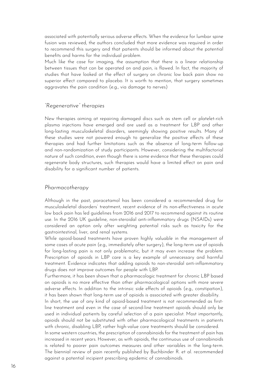associated with potentially serious adverse effects. When the evidence for lumbar spine fusion was reviewed, the authors concluded that more evidence was required in order to recommend this surgery and that patients should be informed about the potential benefits and harms for the individual problem.

Much like the case for imaging, the assumption that there is a linear relationship between tissues that can be operated on and pain, is flawed. In fact, the majority of studies that have looked at the effect of surgery on chronic low back pain show no superior effect compared to placebo. It is worth to mention, that surgery sometimes aggravates the pain condition (e.g., via damage to nerves)

#### *"Regenerative" therapies*

New therapies aiming at repairing damaged discs such as stem cell or platelet-rich plasma injections have emerged and are used as a treatment for LBP and other long-lasting musculoskeletal disorders, seemingly showing positive results. Many of these studies were not powered enough to generalize the positive effects of these therapies and had further limitations such as the absence of long-term follow-up and non-randomization of study participants. However, considering the multifactorial nature of such condition, even though there is some evidence that these therapies could regenerate body structures, such therapies would have a limited effect on pain and disability for a significant number of patients.

#### *Pharmacotherapy*

Although in the past, paracetamol has been considered a recommended drug for musculoskeletal disorders' treatment, recent evidence of its non-effectiveness in acute low back pain has led guidelines from 2016 and 2017 to recommend against its routine use. In the 2016 UK guideline, non-steroidal anti-inflammatory drugs (NSAIDs) were considered an option only after weighting potential risks such as toxicity for the gastrointestinal, liver, and renal systems.

While opioid-based treatments have proven highly valuable in the management of some cases of acute pain (e.g., immediately after surgery), the long-term use of opioids for long-lasting pain is not only problematic, but it may even increase the problem. Prescription of opioids in LBP care is a key example of unnecessary and harmful treatment. Evidence indicates that adding opioids to non-steroidal anti-inflammatory drugs does not improve outcomes for people with LBP.

Furthermore, it has been shown that a pharmacologic treatment for chronic LBP based on opioids is no more effective than other pharmacological options with more severe adverse effects. In addition to the intrinsic side effects of opioids (e.g., constipation), it has been shown that long-term use of opioids is associated with greater disability.

In short, the use of any kind of opioid-based treatment is not recommended as firstline treatment and even in the case of second-line treatment opioids should only be used in individual patients by careful selection of a pain specialist. Most importantly, opioids should not be substituted with other pharmacological treatments in patients with chronic, disabling LBP, rather high-value care treatments should be considered. In some western countries, the prescription of cannabinoids for the treatment of pain has increased in recent years. However, as with opioids, the continuous use of cannabinoids is related to poorer pain outcomes measures and other variables in the long-term. The biennial review of pain recently published by Buchbinder R. et al. recommended against a potential incipient prescribing epidemic of cannabinoids.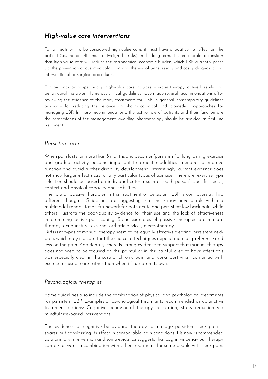### *High-value care interventions*

For a treatment to be considered high-value care, it must have a positive net effect on the patient (i.e., the benefits must outweigh the risks). In the long term, it is reasonable to consider that high-value care will reduce the astronomical economic burden, which LBP currently poses via the prevention of overmedicalization and the use of unnecessary and costly diagnostic and interventional or surgical procedures.

For low back pain, specifically, high-value care includes: exercise therapy, active lifestyle and behavioural therapies. Numerous clinical guidelines have made several recommendations after reviewing the evidence of the many treatments for LBP. In general, contemporary guidelines advocate for reducing the reliance on pharmacological and biomedical approaches for managing LBP. In these recommendations, the active role of patients and their function are the cornerstones of the management, avoiding pharmacology should be avoided as first-line treatment.

#### *Persistent pain*

When pain lasts for more than 3 months and becomes "persistent" or long lasting, exercise and gradual activity become important treatment modalities intended to improve function and avoid further disability development. Interestingly, current evidence does not show larger effect sizes for any particular types of exercise. Therefore, exercise type selection should be based on individual criteria such as each person's specific needs, context and physical capacity and habilities.

The role of passive therapies in the treatment of persistent LBP is controversial. Two different thoughts: Guidelines are suggesting that these may have a role within a multimodal rehabilitation framework for both acute and persistent low back pain, while others illustrate the poor-quality evidence for their use and the lack of effectiveness in promoting active pain coping. Some examples of passive therapies are manual therapy, acupuncture, external orthotic devices, electrotherapy.

Different types of manual therapy seem to be equally effective treating persistent neck pain, which may indicate that the choice of techniques depend more on preference and less on the pain. Additionally, there is strong evidence to support that manual therapy does not need to be focused on the painful or in the painful area to have effect this was especially clear in the case of chronic pain and works best when combined with exercise or usual care rather than when it's used on its own.

#### *Psychological therapies*

Some guidelines also include the combination of physical and psychological treatments for persistent LBP. Examples of psychological treatments recommended as adjunctive treatment options: Cognitive behavioural therapy, relaxation, stress reduction via mindfulness-based interventions.

The evidence for cognitive behavioural therapy to manage persistent neck pain is sparse but considering its effect in comparable pain conditions it is now recommended as a primary intervention and some evidence suggests that cognitive behaviour therapy can be relevant in combination with other treatments for some people with neck pain.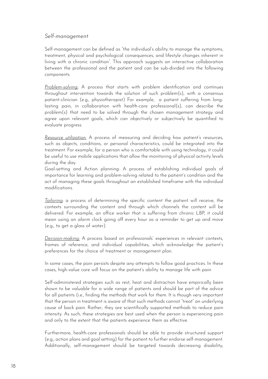#### *Self-management*

Self-management can be defined as "the individual's ability to manage the symptoms, treatment, physical and psychological consequences, and lifestyle changes inherent in living with a chronic condition". This approach suggests an interactive collaboration between the professional and the patient and can be sub-divided into the following components.

*Problem-solving:* A process that starts with problem identification and continues throughout intervention towards the solution of such problem(s), with a consensus patient-clinician (e.g., physiotherapist) For example, a patient suffering from longlasting pain, in collaboration with health-care professional(s), can describe the problem(s) that need to be solved through the chosen management strategy and agree upon relevant goals, which can objectively or subjectively be quantified to evaluate progress.

*Resource utilization:* A process of measuring and deciding how patient's resources, such as objects, conditions, or personal characteristics, could be integrated into the treatment. For example, for a person who is comfortable with using technology, it could be useful to use mobile applications that allow the monitoring of physical activity levels during the day.

Goal-setting and Action planning: A process of establishing individual goals of importance for learning and problem-solving related to the patient's condition and the act of managing these goals throughout an established timeframe with the individual modifications.

*Tailoring*: a process of determining the specific content the patient will receive, the contexts surrounding the content and through which channels the content will be delivered. For example, an office worker that is suffering from chronic LBP, it could mean using an alarm clock going off every hour as a reminder to get up and move (e.g., to get a glass of water).

*Decision-making:* A process based on professionals' experiences in relevant contexts, frames of reference, and individual capabilities, which acknowledge the patient's preferences for the choice of treatment or management plan.

In some cases, the pain persists despite any attempts to follow good practices. In these cases, high-value care will focus on the patient's ability to manage life with pain.

Self-administered strategies such as rest, heat and distraction have empirically been shown to be valuable for a wide range of patients and should be part of the advice for all patients (i.e., finding the methods that work for them. It is though very important that the person in treatment is aware of that such methods cannot "treat" an underlying cause of back pain. Rather, they are scientifically supported methods to reduce pain intensity. As such, these strategies are best used when the person is experiencing pain and only to the extent that the patients experience them as effective.

Furthermore, health-care professionals should be able to provide structured support (e.g., action plans and goal setting) for the patient to further endorse self-management. Additionally, self-management should be targeted towards decreasing disability,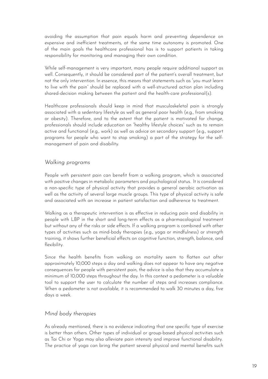avoiding the assumption that pain equals harm and preventing dependence on expensive and inefficient treatments, at the same time autonomy is promoted. One of the main goals the healthcare professional has is to support patients in taking responsibility for monitoring and managing their own condition.

While self-management is very important, many people require additional support as well. Consequently, it should be considered part of the patient's overall treatment, but not the only intervention. In essence, this means that statements such as "you must learn to live with the pain" should be replaced with a well-structured action plan including shared-decision making between the patient and the health-care professional(s).

Healthcare professionals should keep in mind that musculoskeletal pain is strongly associated with a sedentary lifestyle as well as general poor health (e.g., from smoking or obesity). Therefore, and to the extent that the patient is motivated for change, professionals should include education on "healthy lifestyle choices" such as to remain active and functional (e.g., work) as well as advice on secondary support (e.g., support programs for people who want to stop smoking) a part of the strategy for the selfmanagement of pain and disability.

#### *Walking programs*

People with persistent pain can benefit from a walking program, which is associated with positive changes in metabolic parameters and psychological status. It is considered a non-specific type of physical activity that provides a general aerobic activation as well as the activity of several large muscle groups. This type of physical activity is safe and associated with an increase in patient satisfaction and adherence to treatment.

Walking as a therapeutic intervention is as effective in reducing pain and disability in people with LBP in the short and long-term effects as a pharmacological treatment but without any of the risks or side effects. If a walking program is combined with other types of activities such as mind-body therapies (e.g., yoga or mindfulness) or strength training, it shows further beneficial effects on cognitive function, strength, balance, and flexibility.

Since the health benefits from walking on mortality seem to flatten out after approximately 10,000 steps a day and walking does not appear to have any negative consequences for people with persistent pain, the advice is also that they accumulate a minimum of 10,000 steps throughout the day. In this context a pedometer is a valuable tool to support the user to calculate the number of steps and increases compliance. When a pedometer is not available, it is recommended to walk 30 minutes a day, five days a week.

#### *Mind body therapies*

As already mentioned, there is no evidence indicating that one specific type of exercise is better than others. Other types of individual or group-based physical activities such as Tai Chi or Yoga may also alleviate pain intensity and improve functional disability. The practice of yoga can bring the patient several physical and mental benefits such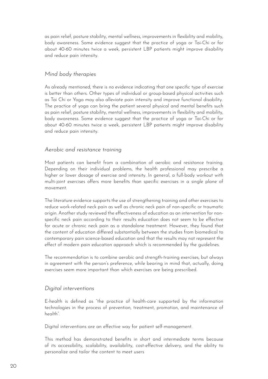as pain relief, posture stability, mental wellness, improvements in flexibility and mobility, body awareness. Some evidence suggest that the practice of yoga or Tai-Chi or for about 40-60 minutes twice a week, persistent LBP patients might improve disability and reduce pain intensity.

#### *Mind body therapies*

As already mentioned, there is no evidence indicating that one specific type of exercise is better than others. Other types of individual or group-based physical activities such as Tai Chi or Yoga may also alleviate pain intensity and improve functional disability. The practice of yoga can bring the patient several physical and mental benefits such as pain relief, posture stability, mental wellness, improvements in flexibility and mobility, body awareness. Some evidence suggest that the practice of yoga or Tai-Chi or for about 40-60 minutes twice a week, persistent LBP patients might improve disability and reduce pain intensity.

#### *Aerobic and resistance training*

Most patients can benefit from a combination of aerobic and resistance training. Depending on their individual problems, the health professional may prescribe a higher or lower dosage of exercise and intensity. In general, a full-body workout with multi-joint exercises offers more benefits than specific exercises in a single plane of movement.

The literature evidence supports the use of strengthening training and other exercises to reduce work-related neck pain as well as chronic neck pain of non-specific or traumatic origin. Another study reviewed the effectiveness of education as an intervention for nonspecific neck pain according to their results education does not seem to be effective for acute or chronic neck pain as a standalone treatment. However, they found that the content of education differed substantially between the studies from biomedical to contemporary pain science-based education and that the results may not represent the effect of modern pain education approach which is recommended by the guidelines.

The recommendation is to combine aerobic and strength-training exercises, but always in agreement with the person's preference, while bearing in mind that, actually, doing exercises seem more important than which exercises are being prescribed.

#### *Digital interventions*

E-health is defined as "the practice of health-care supported by the information technologies in the process of prevention, treatment, promotion, and maintenance of health".

Digital interventions are an effective way for patient self-management.

This method has demonstrated benefits in short and intermediate terms because of its accessibility, scalability, availability, cost-effective delivery, and the ability to personalize and tailor the content to meet users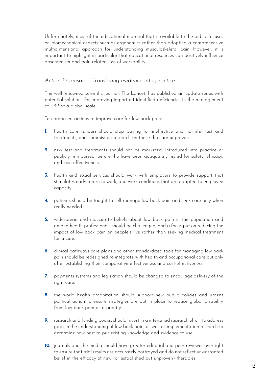Unfortunately, most of the educational material that is available to the public focuses on biomechanical aspects such as ergonomics rather than adopting a comprehensive multidimensional approach for understanding musculoskeletal pain. However, it is important to highlight in particular that educational resources can positively influence absenteeism and pain-related loss of workability.

#### *Action Proposals – Translating evidence into practice*

The well-renowned scientific journal, The Lancet, has published an update series with potential solutions for improving important identified deficiencies in the management of LBP at a global scale.

Ten proposed actions to improve care for low back pain:

- health care funders should stop paying for ineffective and harmful test and treatments, and commission research on those that are unproven. **1.**
- new test and treatments should not be marketed, introduced into practice or publicly reimbursed, before the have been adequately tested for safety, efficacy, and cost-effectiveness. **2.**
- **3.** health and social services should work with employers to provide support that stimulates early return to work, and work conditions that are adapted to employee capacity.
- patients should be taught to self-manage low back pain and seek care only when **4.** really needed.
- widespread and inaccurate beliefs about low back pain in the population and **5.** among health professionals should be challenged, and a focus put on reducing the impact of low back pain on people´s live rather than seeking medical treatment for a cure.
- **6.** clinical pathways care plans and other standardized tools for managing low back pain should be redesigned to integrate with health and occupational care but only after establishing their comparative effectiveness and cost-effectiveness.
- **7.** payments systems and legislation should be changed to encourage delivery of the right care.
- **8.** the world health organization should support new public policies and urgent political action to ensure strategies are put in place to reduce global disability from low back pain as a priority.
- research and funding bodies should invest in a intensified research effort to address **9.** gaps in the understanding of low back pain, as well as implementation research to determine how best to put existing knowledge and evidence to use.
- **10.** journals and the media should have greater editorial and peer reviewer oversight to ensure that trial results are accurately portrayed and do not reflect unwarranted belief in the efficacy of new (or established but unproven) therapies.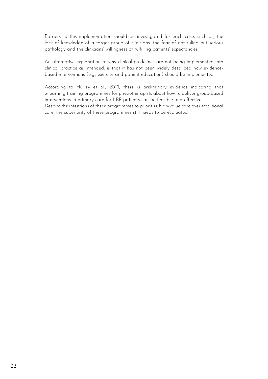Barriers to this implementation should be investigated for each case, such as, the lack of knowledge of a target group of clinicians, the fear of not ruling out serious pathology and the clinicians' willingness of fulfilling patients' expectancies.

An alternative explanation to why clinical guidelines are not being implemented into clinical practice as intended, is that it has not been widely described how evidencebased interventions (e.g., exercise and patient education) should be implemented.

According to Hurley et al., 2019, there is preliminary evidence indicating that e-learning training programmes for physiotherapists about how to deliver group-based interventions in primary care for LBP patients can be feasible and effective. Despite the intentions of these programmes to prioritize high-value care over traditional care, the superiority of these programmes still needs to be evaluated.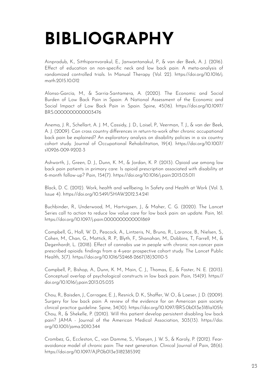# **BIBLIOGRAPHY**

Ainpradub, K., Sitthipornvorakul, E., Janwantanakul, P., & van der Beek, A. J. (2016). Effect of education on non-specific neck and low back pain: A meta-analysis of randomized controlled trials. In Manual Therapy (Vol. 22). https://doi.org/10.1016/j. math.2015.10.012

Alonso-García, M., & Sarría-Santamera, A. (2020). The Economic and Social Burden of Low Back Pain in Spain: A National Assessment of the Economic and Social Impact of Low Back Pain in Spain. Spine, 45(16). https://doi.org/10.1097/ BRS.0000000000003476

Anema, J. R., Schellart, A. J. M., Cassidy, J. D., Loisel, P., Veerman, T. J., & van der Beek, A. J. (2009). Can cross country differences in return-to-work after chronic occupational back pain be explained? An exploratory analysis on disability policies in a six country cohort study. Journal of Occupational Rehabilitation, 19(4). https://doi.org/10.1007/ s10926-009-9202-3

Ashworth, J., Green, D. J., Dunn, K. M., & Jordan, K. P. (2013). Opioid use among low back pain patients in primary care: Is opioid prescription associated with disability at 6-month follow-up? Pain, 154(7). https://doi.org/10.1016/j.pain.2013.03.011

Black, D. C. (2012). Work, health and wellbeing. In Safety and Health at Work (Vol. 3, Issue 4). https://doi.org/10.5491/SHAW.2012.3.4.241

Buchbinder, R., Underwood, M., Hartvigsen, J., & Maher, C. G. (2020). The Lancet Series call to action to reduce low value care for low back pain: an update. Pain, 161. https://doi.org/10.1097/j.pain.0000000000001869

Campbell, G., Hall, W. D., Peacock, A., Lintzeris, N., Bruno, R., Larance, B., Nielsen, S., Cohen, M., Chan, G., Mattick, R. P., Blyth, F., Shanahan, M., Dobbins, T., Farrell, M., & Degenhardt, L. (2018). Effect of cannabis use in people with chronic non-cancer pain prescribed opioids: findings from a 4-year prospective cohort study. The Lancet Public Health, 3(7). https://doi.org/10.1016/S2468-2667(18)30110-5

Campbell, P., Bishop, A., Dunn, K. M., Main, C. J., Thomas, E., & Foster, N. E. (2013). Conceptual overlap of psychological constructs in low back pain. Pain, 154(9). https:// doi.org/10.1016/j.pain.2013.05.035

Chou, R., Baisden, J., Carragee, E. J., Resnick, D. K., Shaffer, W. O., & Loeser, J. D. (2009). Surgery for low back pain: A review of the evidence for an American pain society clinical practice guideline. Spine, 34(10). https://doi.org/10.1097/BRS.0b013e3181a105fc Chou, R., & Shekelle, P. (2010). Will this patient develop persistent disabling low back pain? JAMA - Journal of the American Medical Association, 303(13). https://doi. org/10.1001/jama.2010.344

Crombez, G., Eccleston, C., van Damme, S., Vlaeyen, J. W. S., & Karoly, P. (2012). Fearavoidance model of chronic pain: The next generation. Clinical Journal of Pain, 28(6). https://doi.org/10.1097/AJP.0b013e3182385392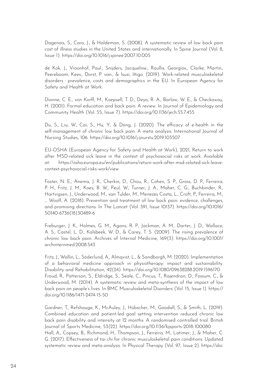Dagenais, S., Caro, J., & Haldeman, S. (2008). A systematic review of low back pain cost of illness studies in the United States and internationally. In Spine Journal (Vol. 8, Issue 1). https://doi.org/10.1016/j.spinee.2007.10.005

de Kok, J., Vroonhof, Paul., Snijders, Jacqueline., Roullis, Georgios., Clarke, Martin., Peereboom, Kees., Dorst, P. van., & Isusi, Iñigo. (2019). Work-related musculoskeletal disorders : prevalence, costs and demographics in the EU. In European Agency for Safety and Health at Work.

Dionne, C. E., von Korff, M., Koepsell, T. D., Deyo, R. A., Barlow, W. E., & Checkoway, H. (2001). Formal education and back pain: A review. In Journal of Epidemiology and Community Health (Vol. 55, Issue 7). https://doi.org/10.1136/jech.55.7.455

Du, S., Liu, W., Cai, S., Hu, Y., & Dong, J. (2020). The efficacy of e-health in the self-management of chronic low back pain: A meta analysis. International Journal of Nursing Studies, 106. https://doi.org/10.1016/j.ijnurstu.2019.103507

EU-OSHA (European Agency for Safety and Health at Work), 2021, Return to work after MSD-related sick leave in the context of psychosocial risks at work. Available at: https://osha.europa.eu/en/publications/return-work-after-msd-related-sick-leavecontext-psychosocial-risks-work/view

Foster, N. E., Anema, J. R., Cherkin, D., Chou, R., Cohen, S. P., Gross, D. P., Ferreira, P. H., Fritz, J. M., Koes, B. W., Peul, W., Turner, J. A., Maher, C. G., Buchbinder, R., Hartvigsen, J., Underwood, M., van Tulder, M., Menezes Costa, L., Croft, P., Ferreira, M., … Woolf, A. (2018). Prevention and treatment of low back pain: evidence, challenges, and promising directions. In The Lancet (Vol. 391, Issue 10137). https://doi.org/10.1016/ S0140-6736(18)30489-6

Freburger, J. K., Holmes, G. M., Agans, R. P., Jackman, A. M., Darter, J. D., Wallace, A. S., Castel, L. D., Kalsbeek, W. D., & Carey, T. S. (2009). The rising prevalence of chronic low back pain. Archives of Internal Medicine, 169(3). https://doi.org/10.1001/ archinternmed.2008.543

Fritz, J., Wallin, L., Söderlund, A., Almqvist, L., & Sandborgh, M. (2020). Implementation of a behavioral medicine approach in physiotherapy: impact and sustainability. Disability and Rehabilitation, 42(24). https://doi.org/10.1080/09638288.2019.1596170 Froud, R., Patterson, S., Eldridge, S., Seale, C., Pincus, T., Rajendran, D., Fossum, C., & Underwood, M. (2014). A systematic review and meta-synthesis of the impact of low back pain on people's lives. In BMC Musculoskeletal Disorders (Vol. 15, Issue 1). https:// doi.org/10.1186/1471-2474-15-50

Gardner, T., Refshauge, K., McAuley, J., Hübscher, M., Goodall, S., & Smith, L. (2019). Combined education and patient-led goal setting intervention reduced chronic low back pain disability and intensity at 12 months: A randomised controlled trial. British Journal of Sports Medicine, 53(22). https://doi.org/10.1136/bjsports-2018-100080 Hall, A., Copsey, B., Richmond, H., Thompson, J., Ferreira, M., Latimer, J., & Maher, C. G. (2017). Effectiveness of tai chi for chronic musculoskeletal pain conditions: Updated systematic review and meta-analysis. In Physical Therapy (Vol. 97, Issue 2). https://doi.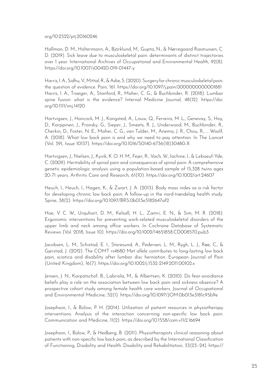#### org/10.2522/ptj.20160246

Hallman, D. M., Holtermann, A., Björklund, M., Gupta, N., & Nørregaard Rasmussen, C. D. (2019). Sick leave due to musculoskeletal pain: determinants of distinct trajectories over 1 year. International Archives of Occupational and Environmental Health, 92(8). https://doi.org/10.1007/s00420-019-01447-y

Harris, I. A., Sidhu, V., Mittal, R., & Adie, S. (2020). Surgery for chronic musculoskeletal pain: the question of evidence. Pain, 161. https://doi.org/10.1097/j.pain.0000000000001881 Harris, I. A., Traeger, A., Stanford, R., Maher, C. G., & Buchbinder, R. (2018). Lumbar spine fusion: what is the evidence? Internal Medicine Journal, 48(12). https://doi. org/10.1111/imj.14120

Hartvigsen, J., Hancock, M. J., Kongsted, A., Louw, Q., Ferreira, M. L., Genevay, S., Hoy, D., Karppinen, J., Pransky, G., Sieper, J., Smeets, R. J., Underwood, M., Buchbinder, R., Cherkin, D., Foster, N. E., Maher, C. G., van Tulder, M., Anema, J. R., Chou, R., … Woolf, A. (2018). What low back pain is and why we need to pay attention. In The Lancet (Vol. 391, Issue 10137). https://doi.org/10.1016/S0140-6736(18)30480-X

Hartvigsen, J., Nielsen, J., Kyvik, K. O. H. M., Fejer, R., Vach, W., Iachine, I., & Leboeuf-Yde, C. (2009). Heritability of spinal pain and consequences of spinal pain: A comprehensive genetic epidemiologic analysis using a population-based sample of 15,328 twins ages 20-71 years. Arthritis Care and Research, 61(10). https://doi.org/10.1002/art.24607

Heuch, I., Heuch, I., Hagen, K., & Zwart, J. A. (2013). Body mass index as a risk factor for developing chronic low back pain: A follow-up in the nord-trøndelag health study. Spine, 38(2). https://doi.org/10.1097/BRS.0b013e3182647af2

Hoe, V. C. W., Urquhart, D. M., Kelsall, H. L., Zamri, E. N., & Sim, M. R. (2018). Ergonomic interventions for preventing work-related musculoskeletal disorders of the upper limb and neck among office workers. In Cochrane Database of Systematic Reviews (Vol. 2018, Issue 10). https://doi.org/10.1002/14651858.CD008570.pub3

Jacobsen, L. M., Schistad, E. I., Storesund, A., Pedersen, L. M., Rygh, L. J., Røe, C., & Gjerstad, J. (2012). The COMT rs4680 Met allele contributes to long-lasting low back pain, sciatica and disability after lumbar disc herniation. European Journal of Pain (United Kingdom), 16(7). https://doi.org/10.1002/j.1532-2149.2011.00102.x

Jensen, J. N., Karpatschof, B., Labriola, M., & Albertsen, K. (2010). Do fear-avoidance beliefs play a role on the association between low back pain and sickness absence? A prospective cohort study among female health care workers. Journal of Occupational and Environmental Medicine, 52(1). https://doi.org/10.1097/JOM.0b013e3181c95b9e

Josephson, I., & Bülow, P. H. (2014). Utilization of patient resources in physiotherapy interventions: Analysis of the interaction concerning non-specific low back pain. Communication and Medicine, 11(2). https://doi.org/10.1558/cam.v11i2.16694

Josephson, I., Bülow, P., & Hedberg, B. (2011). Physiotherapists clinical reasoning about patients with non-specific low back pain, as described by the International Classification of Functioning, Disability and Health. Disability and Rehabilitation, 33(23–24). https://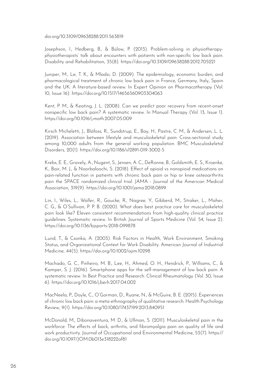doi.org/10.3109/09638288.2011.563819

Josephson, I., Hedberg, B., & Bülow, P. (2013). Problem-solving in physiotherapyphysiotherapists' talk about encounters with patients with non-specific low back pain. Disability and Rehabilitation, 35(8). https://doi.org/10.3109/09638288.2012.705221

Juniper, M., Le, T. K., & Mladsi, D. (2009). The epidemiology, economic burden, and pharmacological treatment of chronic low back pain in France, Germany, Italy, Spain and the UK: A literature-based review. In Expert Opinion on Pharmacotherapy (Vol. 10, Issue 16). https://doi.org/10.1517/14656560903304063

Kent, P. M., & Keating, J. L. (2008). Can we predict poor recovery from recent-onset nonspecific low back pain? A systematic review. In Manual Therapy (Vol. 13, Issue 1). https://doi.org/10.1016/j.math.2007.05.009

Kirsch Micheletti, J., Bláfoss, R., Sundstrup, E., Bay, H., Pastre, C. M., & Andersen, L. L. (2019). Association between lifestyle and musculoskeletal pain: Cross-sectional study among 10,000 adults from the general working population. BMC Musculoskeletal Disorders, 20(1). https://doi.org/10.1186/s12891-019-3002-5

Krebs, E. E., Gravely, A., Nugent, S., Jensen, A. C., DeRonne, B., Goldsmith, E. S., Kroenke, K., Bair, M. J., & Noorbaloochi, S. (2018). Effect of opioid vs nonopioid medications on pain-related function in patients with chronic back pain or hip or knee osteoarthritis pain the SPACE randomized clinical trial. JAMA - Journal of the American Medical Association, 319(9). https://doi.org/10.1001/jama.2018.0899

Lin, I., Wiles, L., Waller, R., Goucke, R., Nagree, Y., Gibberd, M., Straker, L., Maher, C. G., & O'Sullivan, P. P. B. (2020). What does best practice care for musculoskeletal pain look like? Eleven consistent recommendations from high-quality clinical practice guidelines: Systematic review. In British Journal of Sports Medicine (Vol. 54, Issue 2). https://doi.org/10.1136/bjsports-2018-099878

Lund, T., & Csonka, A. (2003). Risk Factors in Health, Work Environment, Smoking Status, and Organizational Context for Work Disability. American Journal of Industrial Medicine, 44(5). https://doi.org/10.1002/ajim.10298

Machado, G. C., Pinheiro, M. B., Lee, H., Ahmed, O. H., Hendrick, P., Williams, C., & Kamper, S. J. (2016). Smartphone apps for the self-management of low back pain: A systematic review. In Best Practice and Research: Clinical Rheumatology (Vol. 30, Issue 6). https://doi.org/10.1016/j.berh.2017.04.002

MacNeela, P., Doyle, C., O'Gorman, D., Ruane, N., & McGuire, B. E. (2015). Experiences of chronic low back pain: a meta-ethnography of qualitative research. Health Psychology Review, 9(1). https://doi.org/10.1080/17437199.2013.840951

McDonald, M., Dibonaventura, M. D., & Ullman, S. (2011). Musculoskeletal pain in the workforce: The effects of back, arthritis, and fibromyalgia pain on quality of life and work productivity. Journal of Occupational and Environmental Medicine, 53(7). https:// doi.org/10.1097/JOM.0b013e318222af81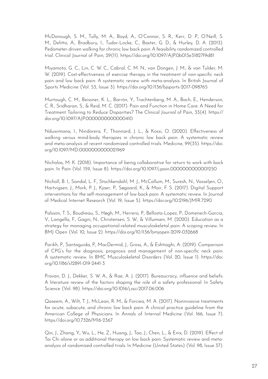McDonough, S. M., Tully, M. A., Boyd, A., O'Connor, S. R., Kerr, D. P., O'Neill, S. M., Delitto, A., Bradbury, I., Tudor-Locke, C., Baxter, G. D., & Hurley, D. A. (2013). Pedometer-driven walking for chronic low back pain: A feasibility randomized controlled trial. Clinical Journal of Pain, 29(11). https://doi.org/10.1097/AJP.0b013e31827f9d81

Miyamoto, G. C., Lin, C. W. C., Cabral, C. M. N., van Dongen, J. M., & van Tulder, M. W. (2019). Cost-effectiveness of exercise therapy in the treatment of non-specific neck pain and low back pain: A systematic review with meta-analysis. In British Journal of Sports Medicine (Vol. 53, Issue 3). https://doi.org/10.1136/bjsports-2017-098765

Murtaugh, C. M., Beissner, K. L., Barrón, Y., Trachtenberg, M. A., Bach, E., Henderson, C. R., Sridharan, S., & Reid, M. C. (2017). Pain and Function in Home Care: A Need for Treatment Tailoring to Reduce Disparities? The Clinical Journal of Pain, 33(4). https:// doi.org/10.1097/AJP.0000000000000410

Nduwimana, I., Nindorera, F., Thonnard, J. L., & Kossi, O. (2020). Effectiveness of walking versus mind-body therapies in chronic low back pain: A systematic review and meta-analysis of recent randomized controlled trials. Medicine, 99(35). https://doi. org/10.1097/MD.0000000000021969

Nicholas, M. K. (2018). Importance of being collaborative for return to work with back pain. In Pain (Vol. 159, Issue 8). https://doi.org/10.1097/j.pain.0000000000001250

Nicholl, B. I., Sandal, L. F., Stochkendahl, M. J., McCallum, M., Suresh, N., Vasseljen, O., Hartvigsen, J., Mork, P. J., Kjaer, P., Søgaard, K., & Mair, F. S. (2017). Digital Support interventions for the self-management of low back pain: A systematic review. In Journal of Medical Internet Research (Vol. 19, Issue 5). https://doi.org/10.2196/JMIR.7290

Palsson, T. S., Boudreau, S., Høgh, M., Herrero, P., Bellosta-Lopez, P., Domenech-Garcia, V., Langella, F., Gagni, N., Christensen, S. W., & Villumsen, M. (2020). Education as a strategy for managing occupational-related musculoskeletal pain: A scoping review. In BMJ Open (Vol. 10, Issue 2). https://doi.org/10.1136/bmjopen-2019-032668

Parikh, P., Santaguida, P., MacDermid, J., Gross, A., & Eshtiaghi, A. (2019). Comparison of CPG's for the diagnosis, prognosis and management of non-specific neck pain: A systematic review. In BMC Musculoskeletal Disorders (Vol. 20, Issue 1). https://doi. org/10.1186/s12891-019-2441-3

Provan, D. J., Dekker, S. W. A., & Rae, A. J. (2017). Bureaucracy, influence and beliefs: A literature review of the factors shaping the role of a safety professional. In Safety Science (Vol. 98). https://doi.org/10.1016/j.ssci.2017.06.006

Qaseem, A., Wilt, T. J., McLean, R. M., & Forciea, M. A. (2017). Noninvasive treatments for acute, subacute, and chronic low back pain: A clinical practice guideline from the American College of Physicians. In Annals of Internal Medicine (Vol. 166, Issue 7). https://doi.org/10.7326/M16-2367

Qin, J., Zhang, Y., Wu, L., He, Z., Huang, J., Tao, J., Chen, L., & Enix, D. (2019). Effect of Tai Chi alone or as additional therapy on low back pain: Systematic review and metaanalysis of randomized controlled trials. In Medicine (United States) (Vol. 98, Issue 37).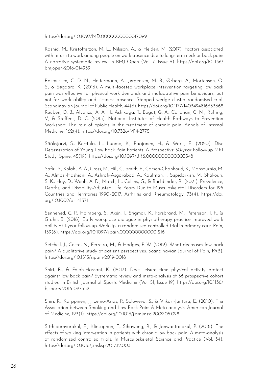https://doi.org/10.1097/MD.0000000000017099

Rashid, M., Kristofferzon, M. L., Nilsson, A., & Heiden, M. (2017). Factors associated with return to work among people on work absence due to long-term neck or back pain: A narrative systematic review. In BMJ Open (Vol. 7, Issue 6). https://doi.org/10.1136/ bmjopen-2016-014939

Rasmussen, C. D. N., Holtermann, A., Jørgensen, M. B., Ørberg, A., Mortensen, O. S., & Søgaard, K. (2016). A multi-faceted workplace intervention targeting low back pain was effective for physical work demands and maladaptive pain behaviours, but not for work ability and sickness absence: Stepped wedge cluster randomised trial. Scandinavian Journal of Public Health, 44(6). https://doi.org/10.1177/1403494816653668 Reuben, D. B., Alvanzo, A. A. H., Ashikaga, T., Bogat, G. A., Callahan, C. M., Ruffing, V., & Steffens, D. C. (2015). National Institutes of Health Pathways to Prevention Workshop: The role of opioids in the treatment of chronic pain. Annals of Internal Medicine, 162(4). https://doi.org/10.7326/M14-2775

Sääksjärvi, S., Kerttula, L., Luoma, K., Paajanen, H., & Waris, E. (2020). Disc Degeneration of Young Low Back Pain Patients: A Prospective 30-year Follow-up MRI Study. Spine, 45(19). https://doi.org/10.1097/BRS.0000000000003548

Safiri, S., Kolahi, A. A., Cross, M., Hill, C., Smith, E., Carson-Chahhoud, K., Mansournia, M. A., Almasi-Hashiani, A., Ashrafi-Asgarabad, A., Kaufman, J., Sepidarkish, M., Shakouri, S. K., Hoy, D., Woolf, A. D., March, L., Collins, G., & Buchbinder, R. (2021). Prevalence, Deaths, and Disability-Adjusted Life Years Due to Musculoskeletal Disorders for 195 Countries and Territories 1990–2017. Arthritis and Rheumatology, 73(4). https://doi. org/10.1002/art.41571

Sennehed, C. P., Holmberg, S., Axén, I., Stigmar, K., Forsbrand, M., Petersson, I. F., & Grahn, B. (2018). Early workplace dialogue in physiotherapy practice improved work ability at 1-year follow-up-WorkUp, a randomised controlled trial in primary care. Pain, 159(8). https://doi.org/10.1097/j.pain.0000000000001216

Setchell, J., Costa, N., Ferreira, M., & Hodges, P. W. (2019). What decreases low back pain? A qualitative study of patient perspectives. Scandinavian Journal of Pain, 19(3). https://doi.org/10.1515/sjpain-2019-0018

Shiri, R., & Falah-Hassani, K. (2017). Does leisure time physical activity protect against low back pain? Systematic review and meta-analysis of 36 prospective cohort studies. In British Journal of Sports Medicine (Vol. 51, Issue 19). https://doi.org/10.1136/ bjsports-2016-097352

Shiri, R., Karppinen, J., Leino-Arjas, P., Solovieva, S., & Viikari-Juntura, E. (2010). The Association between Smoking and Low Back Pain: A Meta-analysis. American Journal of Medicine, 123(1). https://doi.org/10.1016/j.amjmed.2009.05.028

Sitthipornvorakul, E., Klinsophon, T., Sihawong, R., & Janwantanakul, P. (2018). The effects of walking intervention in patients with chronic low back pain: A meta-analysis of randomized controlled trials. In Musculoskeletal Science and Practice (Vol. 34). https://doi.org/10.1016/j.msksp.2017.12.003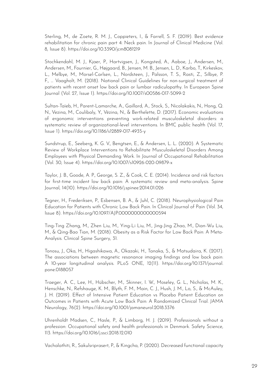Sterling, M., de Zoete, R. M. J., Coppieters, I., & Farrell, S. F. (2019). Best evidence rehabilitation for chronic pain part 4: Neck pain. In Journal of Clinical Medicine (Vol. 8, Issue 8). https://doi.org/10.3390/jcm8081219

Stochkendahl, M. J., Kjaer, P., Hartvigsen, J., Kongsted, A., Aaboe, J., Andersen, M., Andersen, M., Fournier, G., Højgaard, B., Jensen, M. B., Jensen, L. D., Karbo, T., Kirkeskov, L., Melbye, M., Morsel-Carlsen, L., Nordsteen, J., Palsson, T. S., Rasti, Z., Silbye, P. F., … Vaagholt, M. (2018). National Clinical Guidelines for non-surgical treatment of patients with recent onset low back pain or lumbar radiculopathy. In European Spine Journal (Vol. 27, Issue 1). https://doi.org/10.1007/s00586-017-5099-2

Sultan-Taïeb, H., Parent-Lamarche, A., Gaillard, A., Stock, S., Nicolakakis, N., Hong, Q. N., Vezina, M., Coulibaly, Y., Vézina, N., & Berthelette, D. (2017). Economic evaluations of ergonomic interventions preventing work-related musculoskeletal disorders: a systematic review of organizational-level interventions. In BMC public health (Vol. 17, Issue 1). https://doi.org/10.1186/s12889-017-4935-y

Sundstrup, E., Seeberg, K. G. V., Bengtsen, E., & Andersen, L. L. (2020). A Systematic Review of Workplace Interventions to Rehabilitate Musculoskeletal Disorders Among Employees with Physical Demanding Work. In Journal of Occupational Rehabilitation (Vol. 30, Issue 4). https://doi.org/10.1007/s10926-020-09879-x

Taylor, J. B., Goode, A. P., George, S. Z., & Cook, C. E. (2014). Incidence and risk factors for first-time incident low back pain: A systematic review and meta-analysis. Spine Journal, 14(10). https://doi.org/10.1016/j.spinee.2014.01.026

Tegner, H., Frederiksen, P., Esbensen, B. A., & Juhl, C. (2018). Neurophysiological Pain Education for Patients with Chronic Low Back Pain. In Clinical Journal of Pain (Vol. 34, Issue 8). https://doi.org/10.1097/AJP.0000000000000594

Ting-Ting Zhang, M., Zhen Liu, M., Ying-Li Liu, M., Jing-Jing Zhao, M., Dian-Wu Liu, M., & Qing-Bao Tian, M. (2018). Obesity as a Risk Factor for Low Back Pain: A Meta-Analysis. Clinical Spine Surgery, 31.

Tonosu, J., Oka, H., Higashikawa, A., Okazaki, H., Tanaka, S., & Matsudaira, K. (2017). The associations between magnetic resonance imaging findings and low back pain: A 10-year longitudinal analysis. PLoS ONE, 12(11). https://doi.org/10.1371/journal. pone.0188057

Traeger, A. C., Lee, H., Hübscher, M., Skinner, I. W., Moseley, G. L., Nicholas, M. K., Henschke, N., Refshauge, K. M., Blyth, F. M., Main, C. J., Hush, J. M., Lo, S., & McAuley, J. H. (2019). Effect of Intensive Patient Education vs Placebo Patient Education on Outcomes in Patients with Acute Low Back Pain: A Randomized Clinical Trial. JAMA Neurology, 76(2). https://doi.org/10.1001/jamaneurol.2018.3376

Uhrenholdt Madsen, C., Hasle, P., & Limborg, H. J. (2019). Professionals without a profession: Occupational safety and health professionals in Denmark. Safety Science, 113. https://doi.org/10.1016/j.ssci.2018.12.010

Vachalathiti, R., Sakulsriprasert, P., & Kingcha, P. (2020). Decreased functional capacity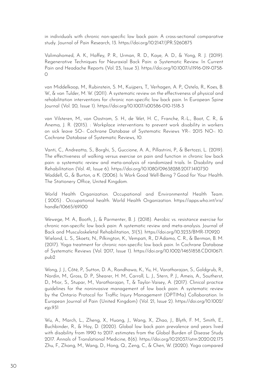in individuals with chronic non-specific low back pain: A cross-sectional comparative study. Journal of Pain Research, 13. https://doi.org/10.2147/JPR.S260875

Valimahomed, A. K., Haffey, P. R., Urman, R. D., Kaye, A. D., & Yong, R. J. (2019). Regenerative Techniques for Neuraxial Back Pain: a Systematic Review. In Current Pain and Headache Reports (Vol. 23, Issue 3). https://doi.org/10.1007/s11916-019-0758-  $\circ$ 

van Middelkoop, M., Rubinstein, S. M., Kuijpers, T., Verhagen, A. P., Ostelo, R., Koes, B. W., & van Tulder, M. W. (2011). A systematic review on the effectiveness of physical and rehabilitation interventions for chronic non-specific low back pain. In European Spine Journal (Vol. 20, Issue 1). https://doi.org/10.1007/s00586-010-1518-3

van Vilsteren, M., van Oostrom, S. H., de Wet, H. C., Franche, R.-L., Boot, C. R., & Anema, J. R. (2015). : Workplace interventions to prevent work disability in workers on sick leave SO-: Cochrane Database of Systematic Reviews YR-: 2015 NO-: 10. Cochrane Database of Systematic Reviews, 10.

Vanti, C., Andreatta, S., Borghi, S., Guccione, A. A., Pillastrini, P., & Bertozzi, L. (2019). The effectiveness of walking versus exercise on pain and function in chronic low back pain: a systematic review and meta-analysis of randomized trials. In Disability and Rehabilitation (Vol. 41, Issue 6). https://doi.org/10.1080/09638288.2017.1410730 Waddell, G., & Burton, a K. (2006). Is Work Good Well-Being ? Good for Your Health. The Stationery Office, United Kingdom.

World Health Organization. Occupational and Environmental Health Team. ( 2005) . Occupational health. World Health Organization. https://apps.who.int/iris/ handle/10665/69100

Wewege, M. A., Booth, J., & Parmenter, B. J. (2018). Aerobic vs. resistance exercise for chronic non-specific low back pain: A systematic review and meta-analysis. Journal of Back and Musculoskeletal Rehabilitation, 31(5). https://doi.org/10.3233/BMR-170920 Wieland, L. S., Skoetz, N., Pilkington, K., Vempati, R., D'Adamo, C. R., & Berman, B. M. (2017). Yoga treatment for chronic non-specific low back pain. In Cochrane Database of Systematic Reviews (Vol. 2017, Issue 1). https://doi.org/10.1002/14651858.CD010671. pub2

Wong, J. J., Côté, P., Sutton, D. A., Randhawa, K., Yu, H., Varatharajan, S., Goldgrub, R., Nordin, M., Gross, D. P., Shearer, H. M., Carroll, L. J., Stern, P. J., Ameis, A., Southerst, D., Mior, S., Stupar, M., Varatharajan, T., & Taylor-Vaisey, A. (2017). Clinical practice guidelines for the noninvasive management of low back pain: A systematic review by the Ontario Protocol for Traffic Injury Management (OPTIMa) Collaboration. In European Journal of Pain (United Kingdom) (Vol. 21, Issue 2). https://doi.org/10.1002/ ejp.931

Wu, A., March, L., Zheng, X., Huang, J., Wang, X., Zhao, J., Blyth, F. M., Smith, E., Buchbinder, R., & Hoy, D. (2020). Global low back pain prevalence and years lived with disability from 1990 to 2017: estimates from the Global Burden of Disease Study 2017. Annals of Translational Medicine, 8(6). https://doi.org/10.21037/atm.2020.02.175 Zhu, F., Zhang, M., Wang, D., Hong, Q., Zeng, C., & Chen, W. (2020). Yoga compared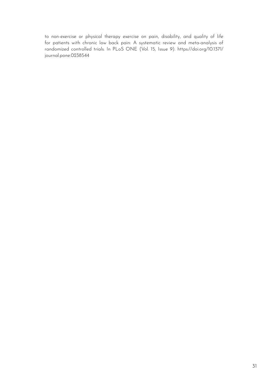to non-exercise or physical therapy exercise on pain, disability, and quality of life for patients with chronic low back pain: A systematic review and meta-analysis of randomized controlled trials. In PLoS ONE (Vol. 15, Issue 9). https://doi.org/10.1371/ journal.pone.0238544